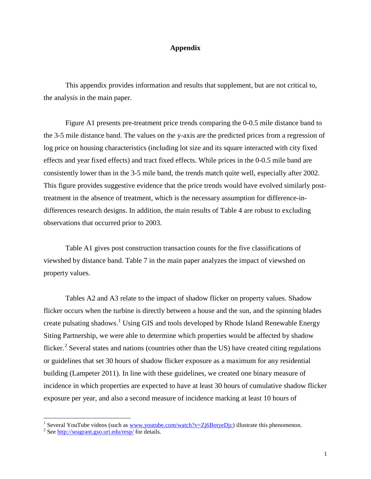## **Appendix**

This appendix provides information and results that supplement, but are not critical to, the analysis in the main paper.

Figure A1 presents pre-treatment price trends comparing the 0-0.5 mile distance band to the 3-5 mile distance band. The values on the y-axis are the predicted prices from a regression of log price on housing characteristics (including lot size and its square interacted with city fixed effects and year fixed effects) and tract fixed effects. While prices in the 0-0.5 mile band are consistently lower than in the 3-5 mile band, the trends match quite well, especially after 2002. This figure provides suggestive evidence that the price trends would have evolved similarly posttreatment in the absence of treatment, which is the necessary assumption for difference-indifferences research designs. In addition, the main results of Table 4 are robust to excluding observations that occurred prior to 2003.

Table A1 gives post construction transaction counts for the five classifications of viewshed by distance band. Table 7 in the main paper analyzes the impact of viewshed on property values.

Tables A2 and A3 relate to the impact of shadow flicker on property values. Shadow flicker occurs when the turbine is directly between a house and the sun, and the spinning blades create pulsating shadows.<sup>[1](#page-0-0)</sup> Using GIS and tools developed by Rhode Island Renewable Energy Siting Partnership, we were able to determine which properties would be affected by shadow flicker.<sup>[2](#page-0-1)</sup> Several states and nations (countries other than the US) have created citing regulations or guidelines that set 30 hours of shadow flicker exposure as a maximum for any residential building (Lampeter 2011). In line with these guidelines, we created one binary measure of incidence in which properties are expected to have at least 30 hours of cumulative shadow flicker exposure per year, and also a second measure of incidence marking at least 10 hours of

<span id="page-0-0"></span><sup>&</sup>lt;sup>1</sup> Several YouTube videos (such as <u>www.youtube.com/watch?v=Zj6BotyeDjc</u>) illustrate this phenomenon. <sup>2</sup> Se[e http://seagrant.gso.uri.edu/resp/](http://seagrant.gso.uri.edu/resp/) for details.

<span id="page-0-1"></span>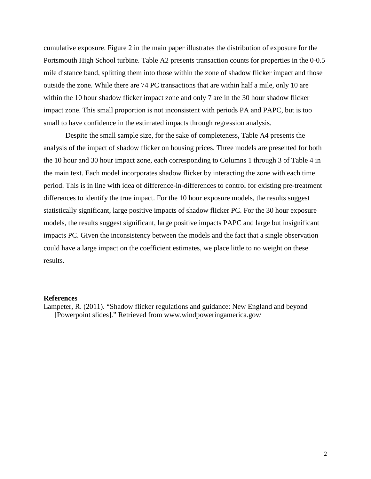cumulative exposure. Figure 2 in the main paper illustrates the distribution of exposure for the Portsmouth High School turbine. Table A2 presents transaction counts for properties in the 0-0.5 mile distance band, splitting them into those within the zone of shadow flicker impact and those outside the zone. While there are 74 PC transactions that are within half a mile, only 10 are within the 10 hour shadow flicker impact zone and only 7 are in the 30 hour shadow flicker impact zone. This small proportion is not inconsistent with periods PA and PAPC, but is too small to have confidence in the estimated impacts through regression analysis.

Despite the small sample size, for the sake of completeness, Table A4 presents the analysis of the impact of shadow flicker on housing prices. Three models are presented for both the 10 hour and 30 hour impact zone, each corresponding to Columns 1 through 3 of Table 4 in the main text. Each model incorporates shadow flicker by interacting the zone with each time period. This is in line with idea of difference-in-differences to control for existing pre-treatment differences to identify the true impact. For the 10 hour exposure models, the results suggest statistically significant, large positive impacts of shadow flicker PC. For the 30 hour exposure models, the results suggest significant, large positive impacts PAPC and large but insignificant impacts PC. Given the inconsistency between the models and the fact that a single observation could have a large impact on the coefficient estimates, we place little to no weight on these results.

## **References**

Lampeter, R. (2011). "Shadow flicker regulations and guidance: New England and beyond [Powerpoint slides]." Retrieved from www.windpoweringamerica.gov/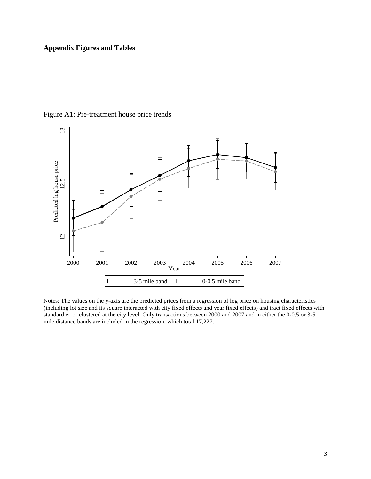## **Appendix Figures and Tables**



Figure A1: Pre-treatment house price trends

Notes: The values on the y-axis are the predicted prices from a regression of log price on housing characteristics (including lot size and its square interacted with city fixed effects and year fixed effects) and tract fixed effects with standard error clustered at the city level. Only transactions between 2000 and 2007 and in either the 0-0.5 or 3-5 mile distance bands are included in the regression, which total 17,227.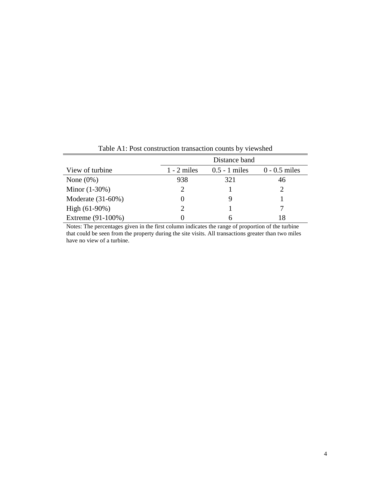|                      | Distance band |                 |                 |  |  |
|----------------------|---------------|-----------------|-----------------|--|--|
| View of turbine      | $1 - 2$ miles | $0.5 - 1$ miles | $0 - 0.5$ miles |  |  |
| None $(0\%)$         | 938           | 321             | 46              |  |  |
| Minor $(1-30%)$      |               |                 |                 |  |  |
| Moderate $(31-60\%)$ | $\theta$      |                 |                 |  |  |
| High $(61-90%)$      |               |                 |                 |  |  |
| Extreme (91-100%)    |               |                 | 18              |  |  |

Table A1: Post construction transaction counts by viewshed

Notes: The percentages given in the first column indicates the range of proportion of the turbine that could be seen from the property during the site visits. All transactions greater than two miles have no view of a turbine.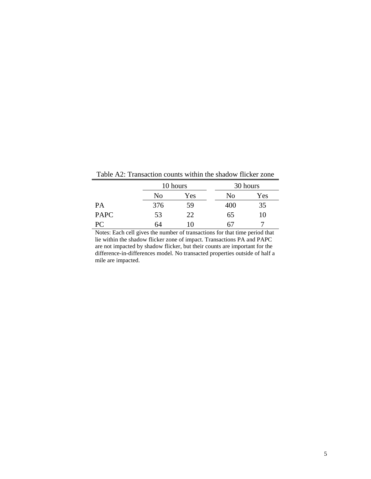Table A2: Transaction counts within the shadow flicker zone

|             |     | 10 hours |     | 30 hours |  |
|-------------|-----|----------|-----|----------|--|
|             | No  | Yes      | No  | Yes      |  |
| PA          | 376 | 59       | 400 | 35       |  |
| <b>PAPC</b> | 53  | 22       | 65  | 10       |  |
| PС          | 64  | 10       | 67  |          |  |

Notes: Each cell gives the number of transactions for that time period that lie within the shadow flicker zone of impact. Transactions PA and PAPC are not impacted by shadow flicker, but their counts are important for the difference-in-differences model. No transacted properties outside of half a mile are impacted.